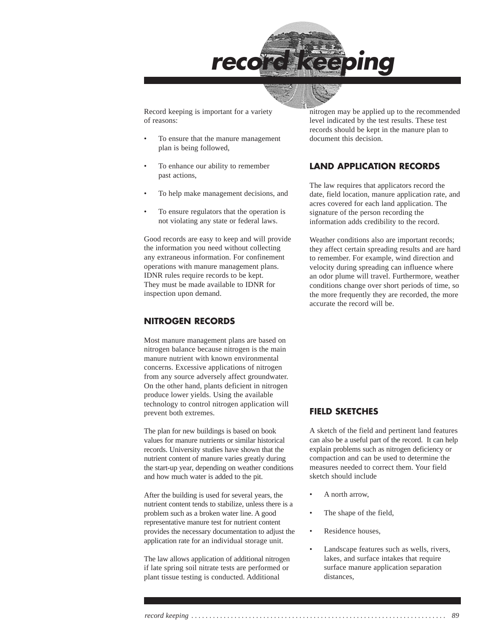

Record keeping is important for a variety of reasons:

- To ensure that the manure management plan is being followed,
- To enhance our ability to remember past actions,
- To help make management decisions, and
- To ensure regulators that the operation is not violating any state or federal laws.

Good records are easy to keep and will provide the information you need without collecting any extraneous information. For confinement operations with manure management plans. IDNR rules require records to be kept. They must be made available to IDNR for inspection upon demand.

### **NITROGEN RECORDS**

Most manure management plans are based on nitrogen balance because nitrogen is the main manure nutrient with known environmental concerns. Excessive applications of nitrogen from any source adversely affect groundwater. On the other hand, plants deficient in nitrogen produce lower yields. Using the available technology to control nitrogen application will prevent both extremes.

The plan for new buildings is based on book values for manure nutrients or similar historical records. University studies have shown that the nutrient content of manure varies greatly during the start-up year, depending on weather conditions and how much water is added to the pit.

After the building is used for several years, the nutrient content tends to stabilize, unless there is a problem such as a broken water line. A good representative manure test for nutrient content provides the necessary documentation to adjust the application rate for an individual storage unit.

The law allows application of additional nitrogen if late spring soil nitrate tests are performed or plant tissue testing is conducted. Additional

nitrogen may be applied up to the recommended level indicated by the test results. These test records should be kept in the manure plan to document this decision.

### **LAND APPLICATION RECORDS**

The law requires that applicators record the date, field location, manure application rate, and acres covered for each land application. The signature of the person recording the information adds credibility to the record.

Weather conditions also are important records; they affect certain spreading results and are hard to remember. For example, wind direction and velocity during spreading can influence where an odor plume will travel. Furthermore, weather conditions change over short periods of time, so the more frequently they are recorded, the more accurate the record will be.

### **FIELD SKETCHES**

A sketch of the field and pertinent land features can also be a useful part of the record. It can help explain problems such as nitrogen deficiency or compaction and can be used to determine the measures needed to correct them. Your field sketch should include

- A north arrow,
- The shape of the field,
- Residence houses,
- Landscape features such as wells, rivers, lakes, and surface intakes that require surface manure application separation distances,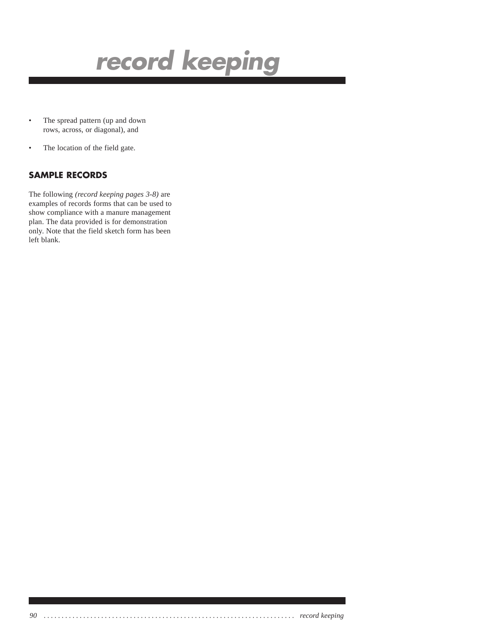

- The spread pattern (up and down rows, across, or diagonal), and
- The location of the field gate.

### **SAMPLE RECORDS**

The following *(record keeping pages 3-8)* are examples of records forms that can be used to show compliance with a manure management plan. The data provided is for demonstration only. Note that the field sketch form has been left blank.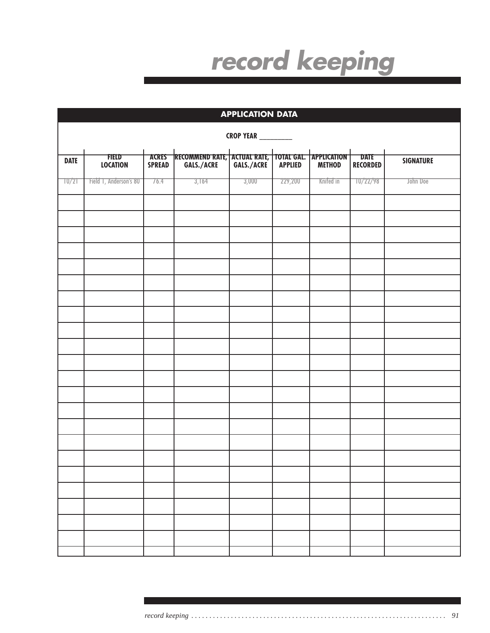| <b>APPLICATION DATA</b> |                            |                               |                                                     |       |         |           |                                |                  |  |  |  |
|-------------------------|----------------------------|-------------------------------|-----------------------------------------------------|-------|---------|-----------|--------------------------------|------------------|--|--|--|
|                         | <b>CROP YEAR</b> _________ |                               |                                                     |       |         |           |                                |                  |  |  |  |
| <b>DATE</b>             | FIELD<br><b>LOCATION</b>   | <b>ACRES</b><br><b>SPREAD</b> | RECOMMEND RATE, ACTUAL RATE, TOTAL GAL. APPLICATION |       |         |           | <b>DATE</b><br><b>RECORDED</b> | <b>SIGNATURE</b> |  |  |  |
| 70/21                   | Field 1, Anderson's 80     | 76.4                          | 3,164                                               | 3,000 | 229,200 | Knifed in | 10/22/98                       | John Doe         |  |  |  |
|                         |                            |                               |                                                     |       |         |           |                                |                  |  |  |  |
|                         |                            |                               |                                                     |       |         |           |                                |                  |  |  |  |
|                         |                            |                               |                                                     |       |         |           |                                |                  |  |  |  |
|                         |                            |                               |                                                     |       |         |           |                                |                  |  |  |  |
|                         |                            |                               |                                                     |       |         |           |                                |                  |  |  |  |
|                         |                            |                               |                                                     |       |         |           |                                |                  |  |  |  |
|                         |                            |                               |                                                     |       |         |           |                                |                  |  |  |  |
|                         |                            |                               |                                                     |       |         |           |                                |                  |  |  |  |
|                         |                            |                               |                                                     |       |         |           |                                |                  |  |  |  |
|                         |                            |                               |                                                     |       |         |           |                                |                  |  |  |  |
|                         |                            |                               |                                                     |       |         |           |                                |                  |  |  |  |
|                         |                            |                               |                                                     |       |         |           |                                |                  |  |  |  |
|                         |                            |                               |                                                     |       |         |           |                                |                  |  |  |  |
|                         |                            |                               |                                                     |       |         |           |                                |                  |  |  |  |
|                         |                            |                               |                                                     |       |         |           |                                |                  |  |  |  |
|                         |                            |                               |                                                     |       |         |           |                                |                  |  |  |  |
|                         |                            |                               |                                                     |       |         |           |                                |                  |  |  |  |
|                         |                            |                               |                                                     |       |         |           |                                |                  |  |  |  |
|                         |                            |                               |                                                     |       |         |           |                                |                  |  |  |  |
|                         |                            |                               |                                                     |       |         |           |                                |                  |  |  |  |
|                         |                            |                               |                                                     |       |         |           |                                |                  |  |  |  |
|                         |                            |                               |                                                     |       |         |           |                                |                  |  |  |  |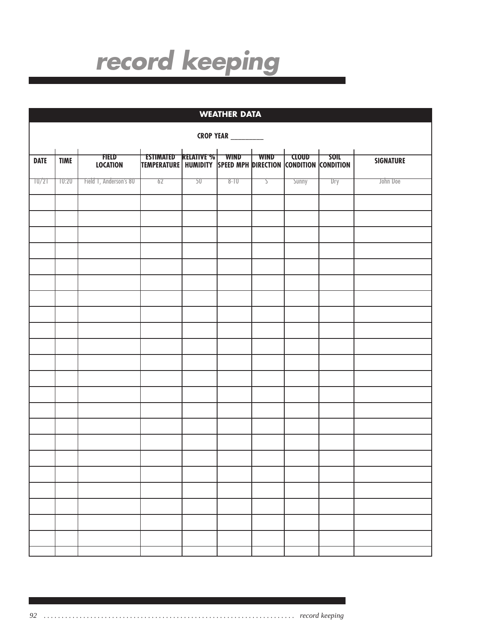| <b>WEATHER DATA</b>        |             |                                 |                                                                                                    |    |          |                        |                           |             |                  |  |
|----------------------------|-------------|---------------------------------|----------------------------------------------------------------------------------------------------|----|----------|------------------------|---------------------------|-------------|------------------|--|
| <b>CROP YEAR</b> _________ |             |                                 |                                                                                                    |    |          |                        |                           |             |                  |  |
| <b>DATE</b>                | <b>TIME</b> | <b>FIELD</b><br><b>LOCATION</b> | <b>ESTIMATED RELATIVE % WIND</b><br>TEMPERATURE   HUMIDITY SPEED MPH DIRECTION CONDITION CONDITION |    |          | $\dashv$ wind $\vdash$ | $\overline{\text{CLOUD}}$ | <b>SOIL</b> | <b>SIGNATURE</b> |  |
| 70/21                      | 70:20       | Field 1, Anderson's 80          | 62                                                                                                 | 50 | $8 - 10$ | 2                      | Sunny                     | Dry         | John Doe         |  |
|                            |             |                                 |                                                                                                    |    |          |                        |                           |             |                  |  |
|                            |             |                                 |                                                                                                    |    |          |                        |                           |             |                  |  |
|                            |             |                                 |                                                                                                    |    |          |                        |                           |             |                  |  |
|                            |             |                                 |                                                                                                    |    |          |                        |                           |             |                  |  |
|                            |             |                                 |                                                                                                    |    |          |                        |                           |             |                  |  |
|                            |             |                                 |                                                                                                    |    |          |                        |                           |             |                  |  |
|                            |             |                                 |                                                                                                    |    |          |                        |                           |             |                  |  |
|                            |             |                                 |                                                                                                    |    |          |                        |                           |             |                  |  |
|                            |             |                                 |                                                                                                    |    |          |                        |                           |             |                  |  |
|                            |             |                                 |                                                                                                    |    |          |                        |                           |             |                  |  |
|                            |             |                                 |                                                                                                    |    |          |                        |                           |             |                  |  |
|                            |             |                                 |                                                                                                    |    |          |                        |                           |             |                  |  |
|                            |             |                                 |                                                                                                    |    |          |                        |                           |             |                  |  |
|                            |             |                                 |                                                                                                    |    |          |                        |                           |             |                  |  |
|                            |             |                                 |                                                                                                    |    |          |                        |                           |             |                  |  |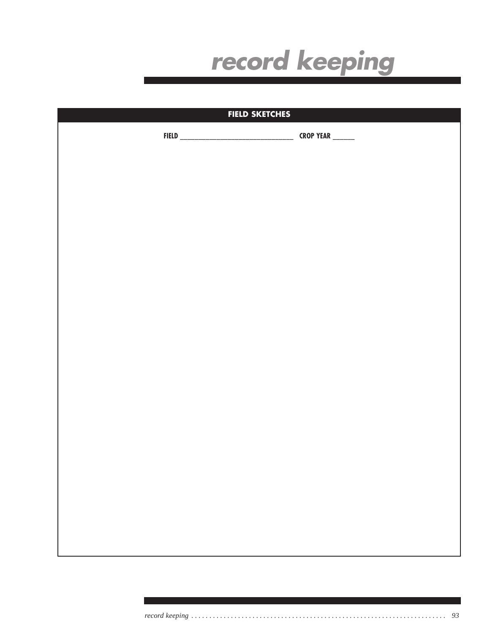

| <b>FIELD SKETCHES</b> |                  |  |
|-----------------------|------------------|--|
|                       | CROP YEAR ______ |  |
|                       |                  |  |
|                       |                  |  |
|                       |                  |  |
|                       |                  |  |
|                       |                  |  |
|                       |                  |  |
|                       |                  |  |
|                       |                  |  |
|                       |                  |  |
|                       |                  |  |
|                       |                  |  |
|                       |                  |  |
|                       |                  |  |
|                       |                  |  |
|                       |                  |  |
|                       |                  |  |
|                       |                  |  |
|                       |                  |  |
|                       |                  |  |
|                       |                  |  |
|                       |                  |  |
|                       |                  |  |
|                       |                  |  |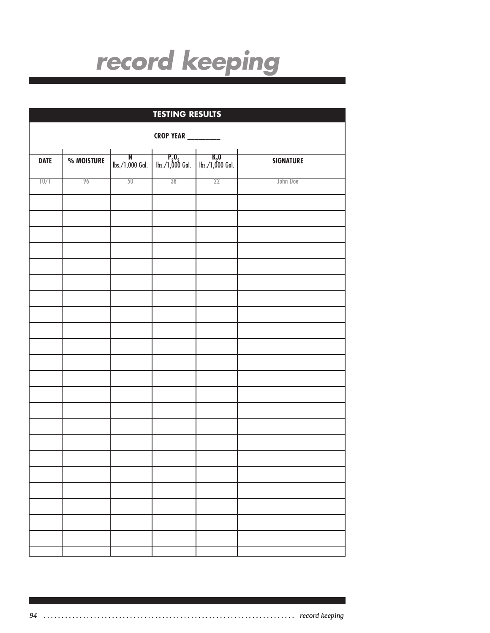|                           | <b>TESTING RESULTS</b> |       |                                                                   |    |                  |  |  |  |  |  |
|---------------------------|------------------------|-------|-------------------------------------------------------------------|----|------------------|--|--|--|--|--|
| <b>CROP YEAR</b> ________ |                        |       |                                                                   |    |                  |  |  |  |  |  |
| <b>DATE</b>               | % MOISTURE             |       | <b>N</b><br>  lbs./1,000 Gal.   lbs./1,000 Gal.   lbs./1,000 Gal. |    | <b>SIGNATURE</b> |  |  |  |  |  |
| T0/1                      | 96                     | $50-$ | $38 -$                                                            | 22 | John Doe         |  |  |  |  |  |
|                           |                        |       |                                                                   |    |                  |  |  |  |  |  |
|                           |                        |       |                                                                   |    |                  |  |  |  |  |  |
|                           |                        |       |                                                                   |    |                  |  |  |  |  |  |
|                           |                        |       |                                                                   |    |                  |  |  |  |  |  |
|                           |                        |       |                                                                   |    |                  |  |  |  |  |  |
|                           |                        |       |                                                                   |    |                  |  |  |  |  |  |
|                           |                        |       |                                                                   |    |                  |  |  |  |  |  |
|                           |                        |       |                                                                   |    |                  |  |  |  |  |  |
|                           |                        |       |                                                                   |    |                  |  |  |  |  |  |
|                           |                        |       |                                                                   |    |                  |  |  |  |  |  |
|                           |                        |       |                                                                   |    |                  |  |  |  |  |  |
|                           |                        |       |                                                                   |    |                  |  |  |  |  |  |
|                           |                        |       |                                                                   |    |                  |  |  |  |  |  |
|                           |                        |       |                                                                   |    |                  |  |  |  |  |  |
|                           |                        |       |                                                                   |    |                  |  |  |  |  |  |
|                           |                        |       |                                                                   |    |                  |  |  |  |  |  |
|                           |                        |       |                                                                   |    |                  |  |  |  |  |  |
|                           |                        |       |                                                                   |    |                  |  |  |  |  |  |
|                           |                        |       |                                                                   |    |                  |  |  |  |  |  |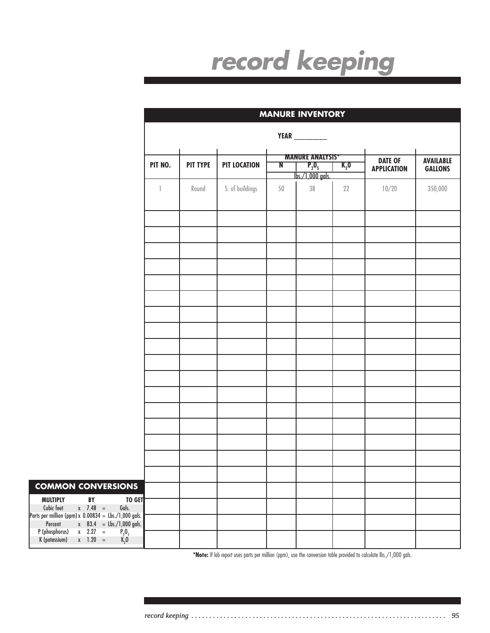|                                                                                                                                                   |              | <b>MANURE INVENTORY</b> |                     |        |                      |           |                                      |                                    |
|---------------------------------------------------------------------------------------------------------------------------------------------------|--------------|-------------------------|---------------------|--------|----------------------|-----------|--------------------------------------|------------------------------------|
|                                                                                                                                                   |              |                         |                     |        | <b>YEAR</b> ________ |           |                                      |                                    |
|                                                                                                                                                   |              | <b>MANURE ANALYSIS*</b> |                     |        |                      |           |                                      |                                    |
|                                                                                                                                                   | PIT NO.      | <b>PIT TYPE</b>         | <b>PIT LOCATION</b> | N      | $P_2O_5$             | $K_{2}$ O | <b>DATE OF</b><br><b>APPLICATION</b> | <b>AVAILABLE</b><br><b>GALLONS</b> |
|                                                                                                                                                   |              |                         |                     |        | lbs./1,000 gals.     |           |                                      |                                    |
|                                                                                                                                                   | $\mathbb{I}$ | Round                   | S. of buildings     | $50\,$ | $38\,$               | 22        | 10/20                                | 350,000                            |
|                                                                                                                                                   |              |                         |                     |        |                      |           |                                      |                                    |
|                                                                                                                                                   |              |                         |                     |        |                      |           |                                      |                                    |
|                                                                                                                                                   |              |                         |                     |        |                      |           |                                      |                                    |
|                                                                                                                                                   |              |                         |                     |        |                      |           |                                      |                                    |
|                                                                                                                                                   |              |                         |                     |        |                      |           |                                      |                                    |
|                                                                                                                                                   |              |                         |                     |        |                      |           |                                      |                                    |
|                                                                                                                                                   |              |                         |                     |        |                      |           |                                      |                                    |
|                                                                                                                                                   |              |                         |                     |        |                      |           |                                      |                                    |
|                                                                                                                                                   |              |                         |                     |        |                      |           |                                      |                                    |
|                                                                                                                                                   |              |                         |                     |        |                      |           |                                      |                                    |
| <b>COMMON CONVERSIONS</b><br>TO GET<br><b>MULTIPLY</b><br>$\mathsf{BY}$                                                                           |              |                         |                     |        |                      |           |                                      |                                    |
| $x \t 7.48 =$<br>Cubic feet<br>Gals.<br>Parts per million (ppm) x $0.00834 = \text{Lbs./1,000}$ gals.<br>Percent<br>$x = 83.4 = Lbs./1,000 gals.$ |              |                         |                     |        |                      |           |                                      |                                    |
| P (phosphorus)<br>$x = 2.27 =$<br>$\begin{array}{c}\n P_2O_5 \\ K_2O\n\end{array}$<br>$x$ 1.20 =<br>K (potassium)                                 |              |                         |                     |        |                      |           |                                      |                                    |

**\*Note:** If lab report uses parts per million (ppm), use the conversion table provided to calculate lbs./1,000 gals.